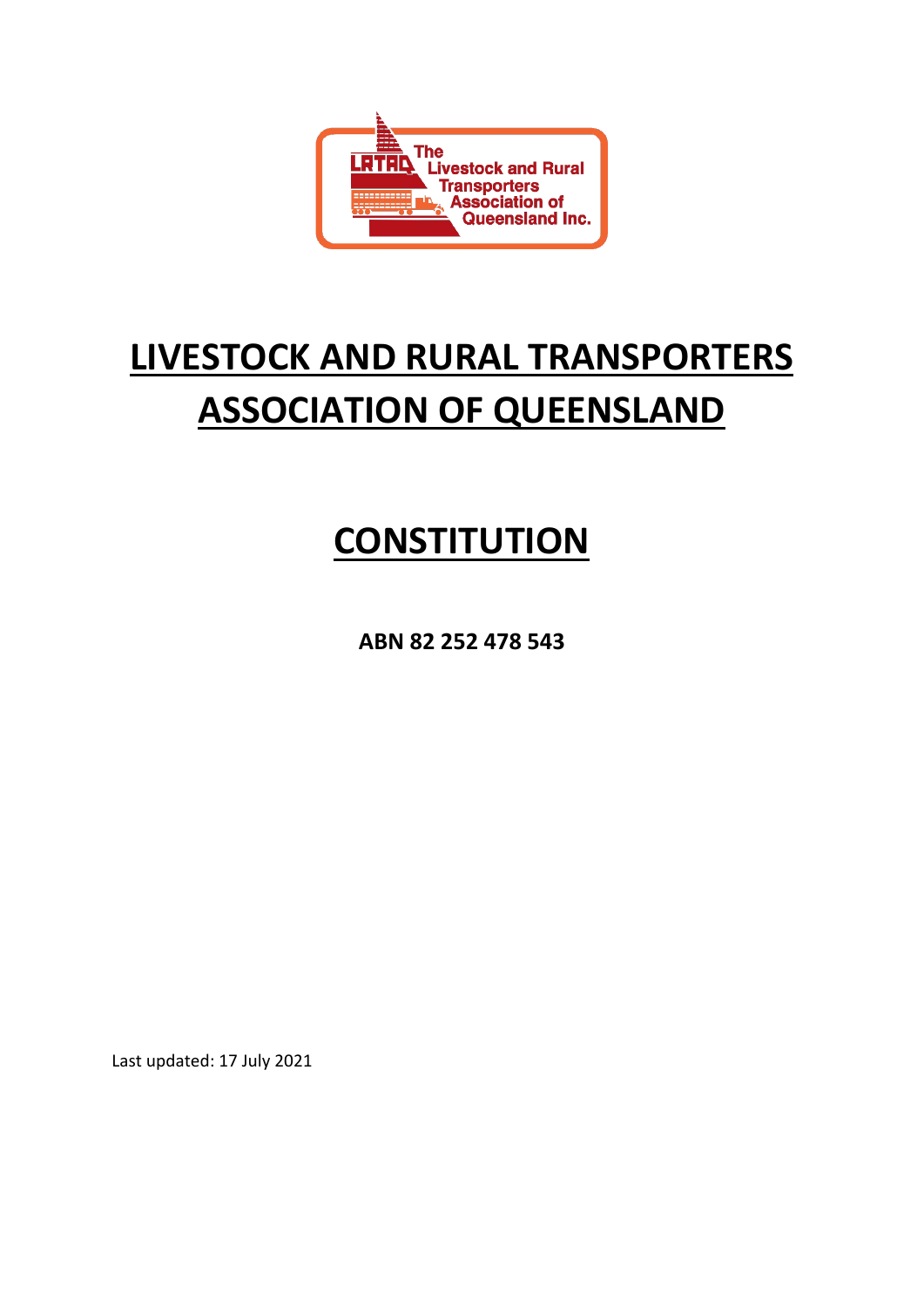

# **LIVESTOCK AND RURAL TRANSPORTERS ASSOCIATION OF QUEENSLAND**

# **CONSTITUTION**

**ABN 82 252 478 543**

Last updated: 17 July 2021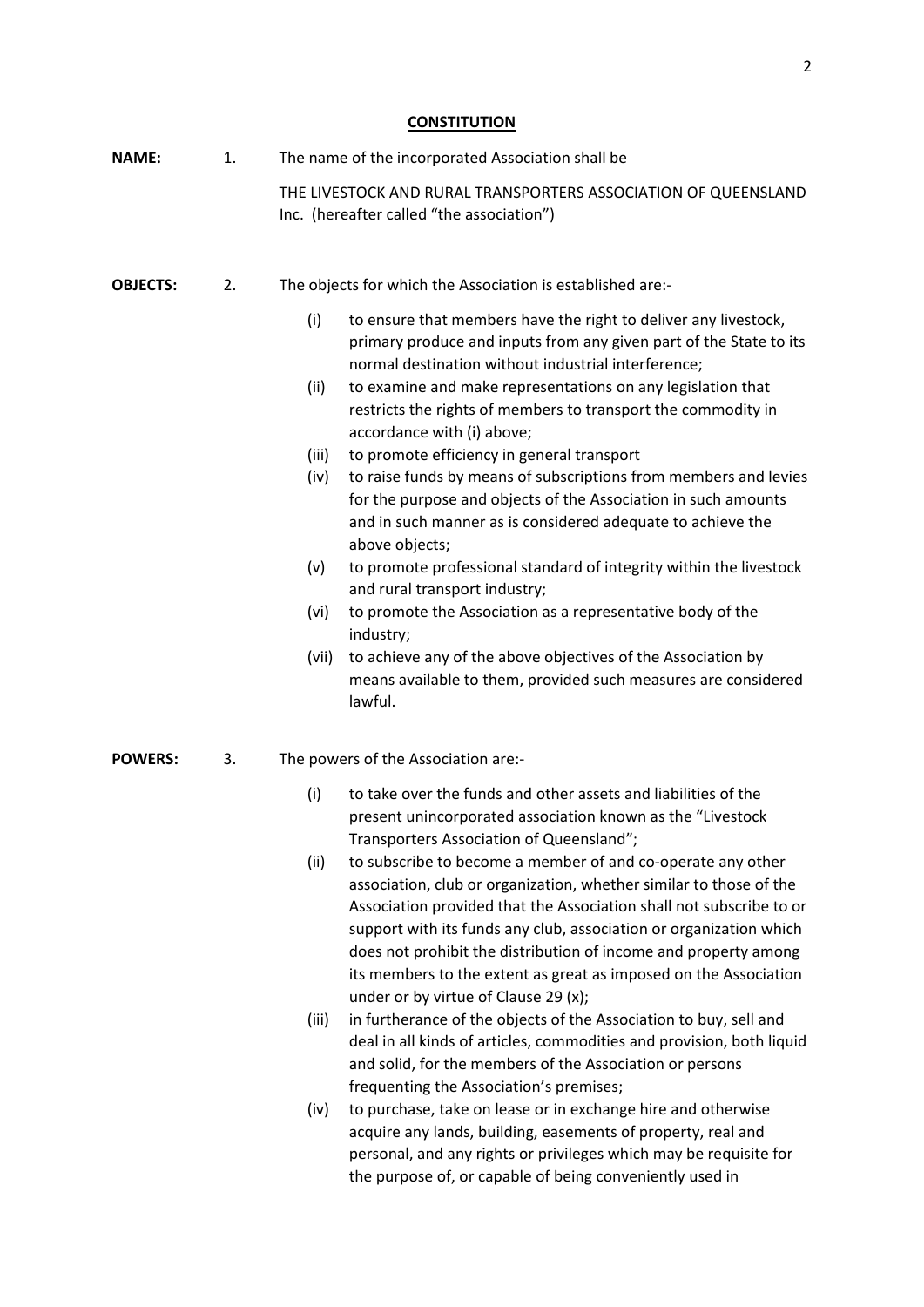# **CONSTITUTION**

| <b>NAME:</b>    | 1. | The name of the incorporated Association shall be                                                                                                                                                                                                                                                                                                                                                                                                                                                                                                                                                                                                                                                                                                                                                                                                                                                                                                                                                                                                              |  |  |  |  |
|-----------------|----|----------------------------------------------------------------------------------------------------------------------------------------------------------------------------------------------------------------------------------------------------------------------------------------------------------------------------------------------------------------------------------------------------------------------------------------------------------------------------------------------------------------------------------------------------------------------------------------------------------------------------------------------------------------------------------------------------------------------------------------------------------------------------------------------------------------------------------------------------------------------------------------------------------------------------------------------------------------------------------------------------------------------------------------------------------------|--|--|--|--|
|                 |    | THE LIVESTOCK AND RURAL TRANSPORTERS ASSOCIATION OF QUEENSLAND<br>Inc. (hereafter called "the association")                                                                                                                                                                                                                                                                                                                                                                                                                                                                                                                                                                                                                                                                                                                                                                                                                                                                                                                                                    |  |  |  |  |
| <b>OBJECTS:</b> | 2. | The objects for which the Association is established are:-                                                                                                                                                                                                                                                                                                                                                                                                                                                                                                                                                                                                                                                                                                                                                                                                                                                                                                                                                                                                     |  |  |  |  |
|                 |    | (i)<br>to ensure that members have the right to deliver any livestock,<br>primary produce and inputs from any given part of the State to its<br>normal destination without industrial interference;<br>to examine and make representations on any legislation that<br>(ii)<br>restricts the rights of members to transport the commodity in<br>accordance with (i) above;<br>to promote efficiency in general transport<br>(iii)<br>to raise funds by means of subscriptions from members and levies<br>(iv)<br>for the purpose and objects of the Association in such amounts<br>and in such manner as is considered adequate to achieve the<br>above objects;<br>to promote professional standard of integrity within the livestock<br>(v)<br>and rural transport industry;<br>(vi)<br>to promote the Association as a representative body of the<br>industry;<br>(vii)<br>to achieve any of the above objectives of the Association by<br>means available to them, provided such measures are considered<br>lawful.                                         |  |  |  |  |
| <b>POWERS:</b>  | 3. | The powers of the Association are:-                                                                                                                                                                                                                                                                                                                                                                                                                                                                                                                                                                                                                                                                                                                                                                                                                                                                                                                                                                                                                            |  |  |  |  |
|                 |    | to take over the funds and other assets and liabilities of the<br>(i)<br>present unincorporated association known as the "Livestock<br>Transporters Association of Queensland";<br>(ii)<br>to subscribe to become a member of and co-operate any other<br>association, club or organization, whether similar to those of the<br>Association provided that the Association shall not subscribe to or<br>support with its funds any club, association or organization which<br>does not prohibit the distribution of income and property among<br>its members to the extent as great as imposed on the Association<br>under or by virtue of Clause 29 (x);<br>in furtherance of the objects of the Association to buy, sell and<br>(iii)<br>deal in all kinds of articles, commodities and provision, both liquid<br>and solid, for the members of the Association or persons<br>frequenting the Association's premises;<br>to purchase, take on lease or in exchange hire and otherwise<br>(iv)<br>acquire any lands, building, easements of property, real and |  |  |  |  |

personal, and any rights or privileges which may be requisite for the purpose of, or capable of being conveniently used in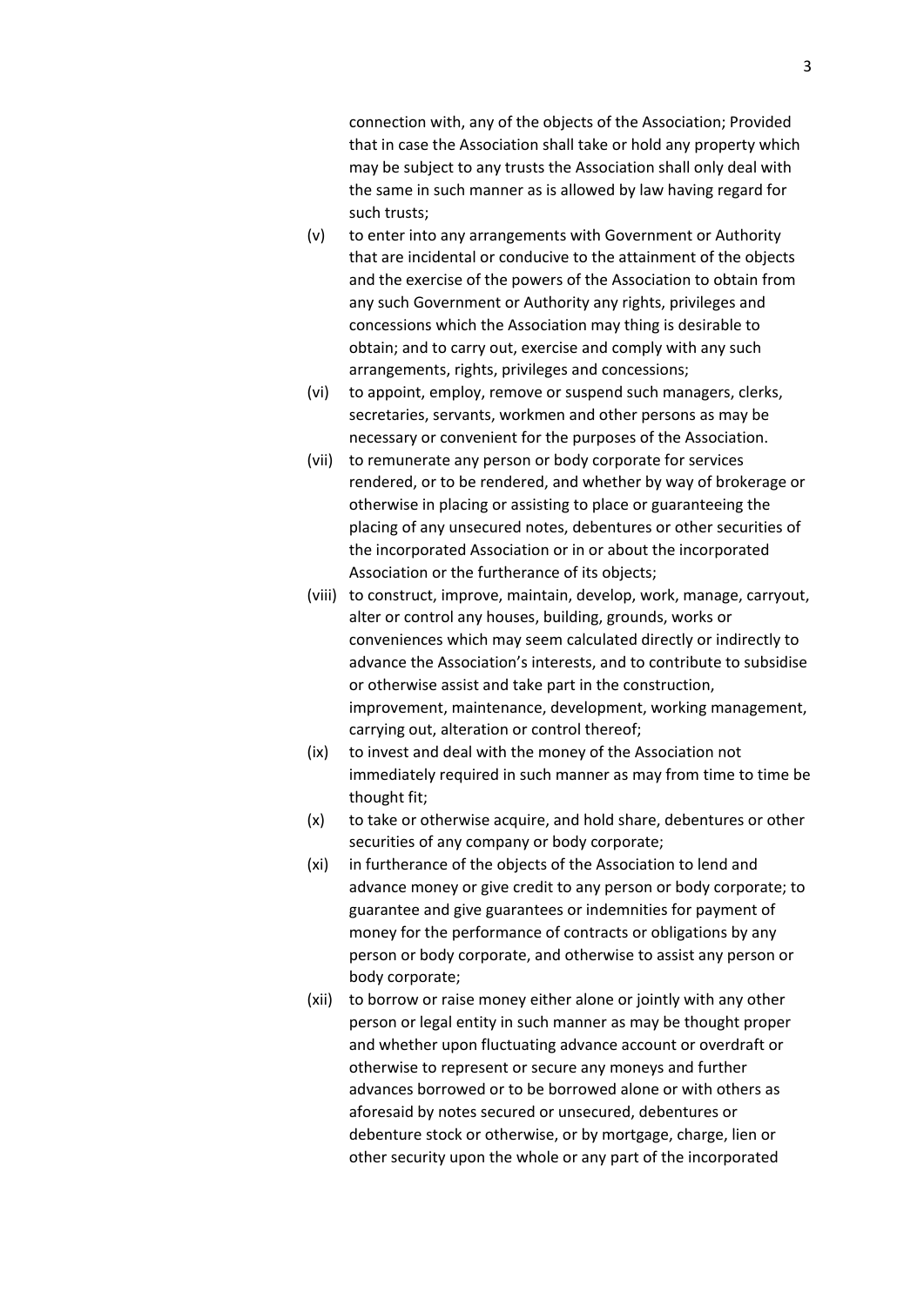connection with, any of the objects of the Association; Provided that in case the Association shall take or hold any property which may be subject to any trusts the Association shall only deal with the same in such manner as is allowed by law having regard for such trusts;

- (v) to enter into any arrangements with Government or Authority that are incidental or conducive to the attainment of the objects and the exercise of the powers of the Association to obtain from any such Government or Authority any rights, privileges and concessions which the Association may thing is desirable to obtain; and to carry out, exercise and comply with any such arrangements, rights, privileges and concessions;
- (vi) to appoint, employ, remove or suspend such managers, clerks, secretaries, servants, workmen and other persons as may be necessary or convenient for the purposes of the Association.
- (vii) to remunerate any person or body corporate for services rendered, or to be rendered, and whether by way of brokerage or otherwise in placing or assisting to place or guaranteeing the placing of any unsecured notes, debentures or other securities of the incorporated Association or in or about the incorporated Association or the furtherance of its objects;
- (viii) to construct, improve, maintain, develop, work, manage, carryout, alter or control any houses, building, grounds, works or conveniences which may seem calculated directly or indirectly to advance the Association's interests, and to contribute to subsidise or otherwise assist and take part in the construction, improvement, maintenance, development, working management, carrying out, alteration or control thereof;
- (ix) to invest and deal with the money of the Association not immediately required in such manner as may from time to time be thought fit;
- (x) to take or otherwise acquire, and hold share, debentures or other securities of any company or body corporate;
- (xi) in furtherance of the objects of the Association to lend and advance money or give credit to any person or body corporate; to guarantee and give guarantees or indemnities for payment of money for the performance of contracts or obligations by any person or body corporate, and otherwise to assist any person or body corporate;
- (xii) to borrow or raise money either alone or jointly with any other person or legal entity in such manner as may be thought proper and whether upon fluctuating advance account or overdraft or otherwise to represent or secure any moneys and further advances borrowed or to be borrowed alone or with others as aforesaid by notes secured or unsecured, debentures or debenture stock or otherwise, or by mortgage, charge, lien or other security upon the whole or any part of the incorporated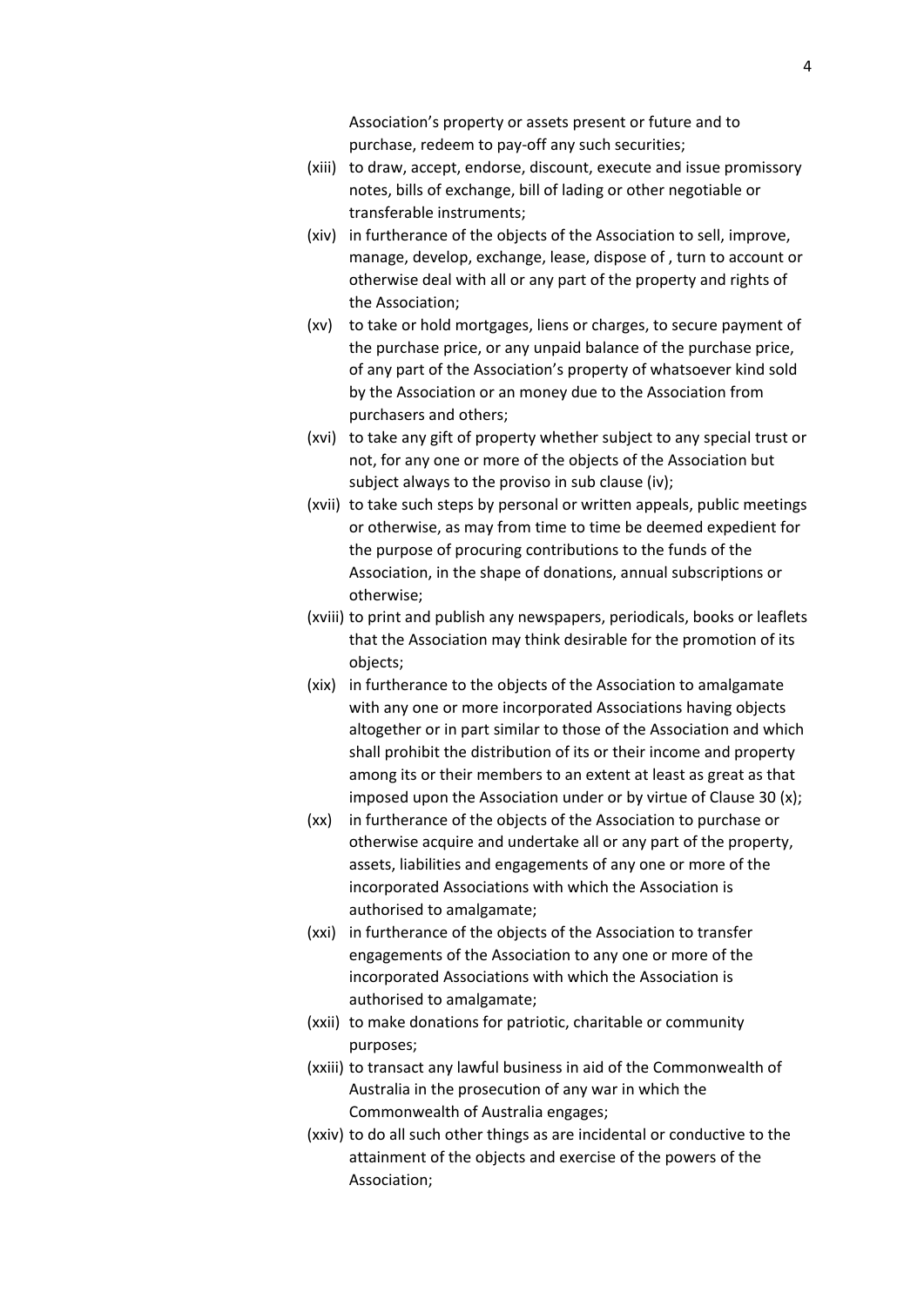Association's property or assets present or future and to purchase, redeem to pay-off any such securities;

- (xiii) to draw, accept, endorse, discount, execute and issue promissory notes, bills of exchange, bill of lading or other negotiable or transferable instruments;
- (xiv) in furtherance of the objects of the Association to sell, improve, manage, develop, exchange, lease, dispose of , turn to account or otherwise deal with all or any part of the property and rights of the Association;
- (xv) to take or hold mortgages, liens or charges, to secure payment of the purchase price, or any unpaid balance of the purchase price, of any part of the Association's property of whatsoever kind sold by the Association or an money due to the Association from purchasers and others;
- (xvi) to take any gift of property whether subject to any special trust or not, for any one or more of the objects of the Association but subject always to the proviso in sub clause (iv);
- (xvii) to take such steps by personal or written appeals, public meetings or otherwise, as may from time to time be deemed expedient for the purpose of procuring contributions to the funds of the Association, in the shape of donations, annual subscriptions or otherwise;
- (xviii) to print and publish any newspapers, periodicals, books or leaflets that the Association may think desirable for the promotion of its objects;
- (xix) in furtherance to the objects of the Association to amalgamate with any one or more incorporated Associations having objects altogether or in part similar to those of the Association and which shall prohibit the distribution of its or their income and property among its or their members to an extent at least as great as that imposed upon the Association under or by virtue of Clause 30 (x);
- (xx) in furtherance of the objects of the Association to purchase or otherwise acquire and undertake all or any part of the property, assets, liabilities and engagements of any one or more of the incorporated Associations with which the Association is authorised to amalgamate;
- (xxi) in furtherance of the objects of the Association to transfer engagements of the Association to any one or more of the incorporated Associations with which the Association is authorised to amalgamate;
- (xxii) to make donations for patriotic, charitable or community purposes;
- (xxiii) to transact any lawful business in aid of the Commonwealth of Australia in the prosecution of any war in which the Commonwealth of Australia engages;
- (xxiv) to do all such other things as are incidental or conductive to the attainment of the objects and exercise of the powers of the Association;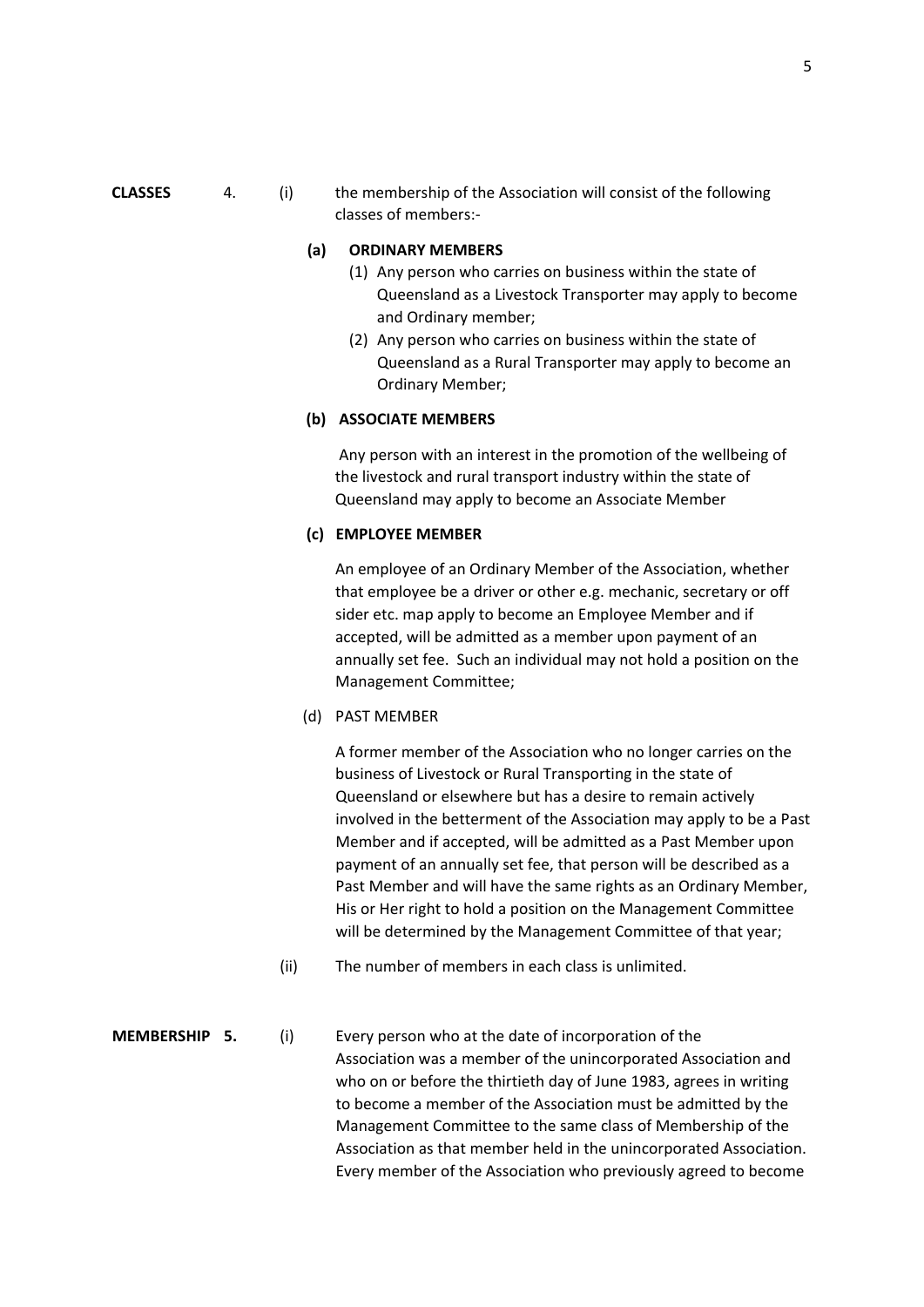**CLASSES** 4. (i) the membership of the Association will consist of the following classes of members:-

## **(a) ORDINARY MEMBERS**

- (1) Any person who carries on business within the state of Queensland as a Livestock Transporter may apply to become and Ordinary member;
- (2) Any person who carries on business within the state of Queensland as a Rural Transporter may apply to become an Ordinary Member;

### **(b) ASSOCIATE MEMBERS**

Any person with an interest in the promotion of the wellbeing of the livestock and rural transport industry within the state of Queensland may apply to become an Associate Member

### **(c) EMPLOYEE MEMBER**

An employee of an Ordinary Member of the Association, whether that employee be a driver or other e.g. mechanic, secretary or off sider etc. map apply to become an Employee Member and if accepted, will be admitted as a member upon payment of an annually set fee. Such an individual may not hold a position on the Management Committee;

(d) PAST MEMBER

A former member of the Association who no longer carries on the business of Livestock or Rural Transporting in the state of Queensland or elsewhere but has a desire to remain actively involved in the betterment of the Association may apply to be a Past Member and if accepted, will be admitted as a Past Member upon payment of an annually set fee, that person will be described as a Past Member and will have the same rights as an Ordinary Member, His or Her right to hold a position on the Management Committee will be determined by the Management Committee of that year;

(ii) The number of members in each class is unlimited.

## **MEMBERSHIP 5.** (i) Every person who at the date of incorporation of the Association was a member of the unincorporated Association and who on or before the thirtieth day of June 1983, agrees in writing to become a member of the Association must be admitted by the Management Committee to the same class of Membership of the Association as that member held in the unincorporated Association. Every member of the Association who previously agreed to become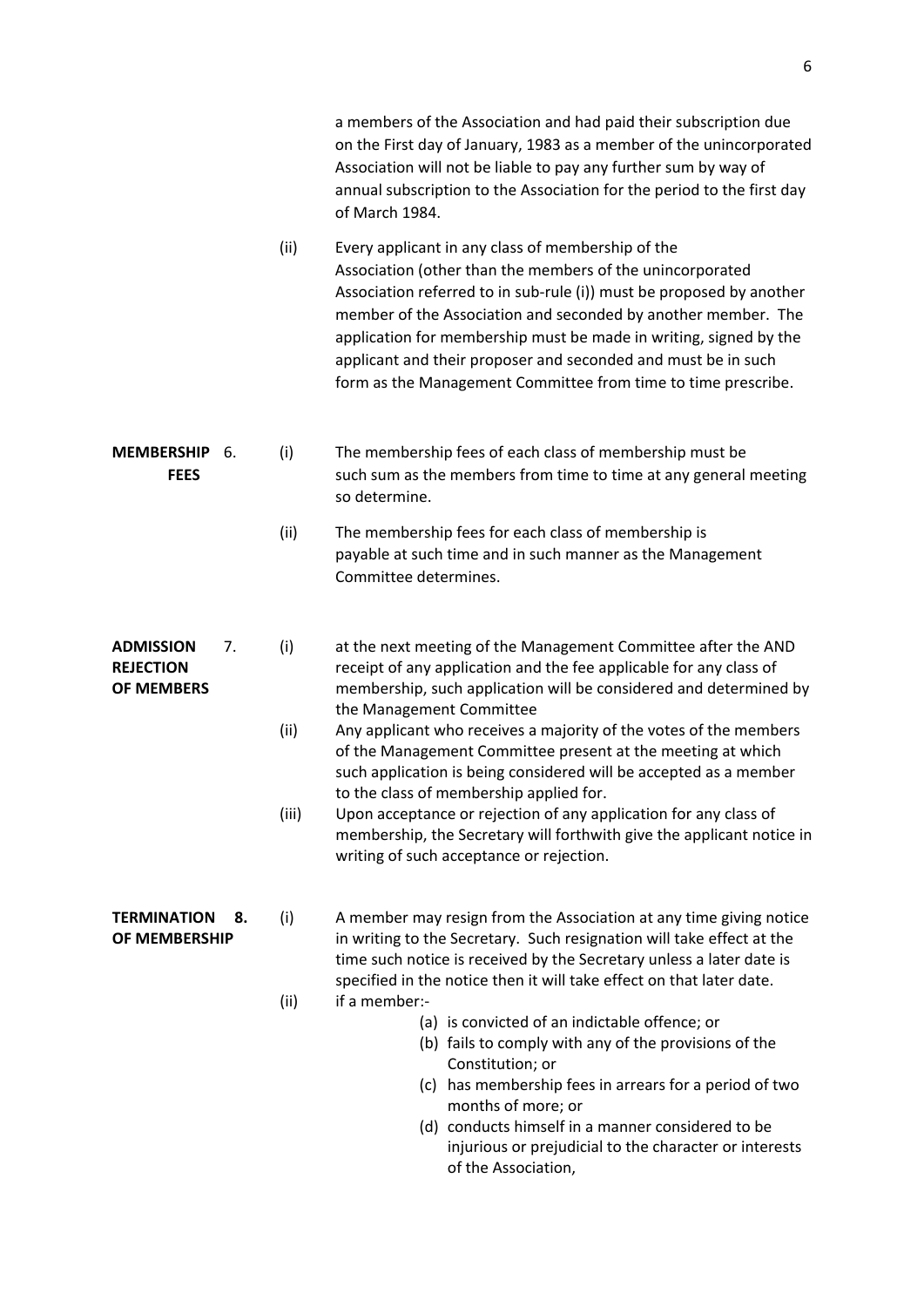|                                                          |       | a members of the Association and had paid their subscription due<br>on the First day of January, 1983 as a member of the unincorporated<br>Association will not be liable to pay any further sum by way of<br>annual subscription to the Association for the period to the first day<br>of March 1984.                                                                                                                                                         |  |  |  |  |
|----------------------------------------------------------|-------|----------------------------------------------------------------------------------------------------------------------------------------------------------------------------------------------------------------------------------------------------------------------------------------------------------------------------------------------------------------------------------------------------------------------------------------------------------------|--|--|--|--|
|                                                          | (ii)  | Every applicant in any class of membership of the<br>Association (other than the members of the unincorporated<br>Association referred to in sub-rule (i)) must be proposed by another<br>member of the Association and seconded by another member. The<br>application for membership must be made in writing, signed by the<br>applicant and their proposer and seconded and must be in such<br>form as the Management Committee from time to time prescribe. |  |  |  |  |
| <b>MEMBERSHIP</b><br>6.<br><b>FEES</b>                   | (i)   | The membership fees of each class of membership must be<br>such sum as the members from time to time at any general meeting<br>so determine.                                                                                                                                                                                                                                                                                                                   |  |  |  |  |
|                                                          | (ii)  | The membership fees for each class of membership is<br>payable at such time and in such manner as the Management<br>Committee determines.                                                                                                                                                                                                                                                                                                                      |  |  |  |  |
| <b>ADMISSION</b><br>7.<br><b>REJECTION</b><br>OF MEMBERS | (i)   | at the next meeting of the Management Committee after the AND<br>receipt of any application and the fee applicable for any class of<br>membership, such application will be considered and determined by<br>the Management Committee                                                                                                                                                                                                                           |  |  |  |  |
|                                                          | (ii)  | Any applicant who receives a majority of the votes of the members<br>of the Management Committee present at the meeting at which<br>such application is being considered will be accepted as a member<br>to the class of membership applied for.                                                                                                                                                                                                               |  |  |  |  |
|                                                          | (iii) | Upon acceptance or rejection of any application for any class of<br>membership, the Secretary will forthwith give the applicant notice in<br>writing of such acceptance or rejection.                                                                                                                                                                                                                                                                          |  |  |  |  |
| <b>TERMINATION</b><br>8.<br>OF MEMBERSHIP                | (i)   | A member may resign from the Association at any time giving notice<br>in writing to the Secretary. Such resignation will take effect at the<br>time such notice is received by the Secretary unless a later date is<br>specified in the notice then it will take effect on that later date.                                                                                                                                                                    |  |  |  |  |
|                                                          | (ii)  | if a member:-<br>(a) is convicted of an indictable offence; or                                                                                                                                                                                                                                                                                                                                                                                                 |  |  |  |  |
|                                                          |       | (b) fails to comply with any of the provisions of the<br>Constitution; or                                                                                                                                                                                                                                                                                                                                                                                      |  |  |  |  |
|                                                          |       | (c) has membership fees in arrears for a period of two                                                                                                                                                                                                                                                                                                                                                                                                         |  |  |  |  |
|                                                          |       | months of more; or<br>(d) conducts himself in a manner considered to be                                                                                                                                                                                                                                                                                                                                                                                        |  |  |  |  |
|                                                          |       | injurious or prejudicial to the character or interests<br>of the Association,                                                                                                                                                                                                                                                                                                                                                                                  |  |  |  |  |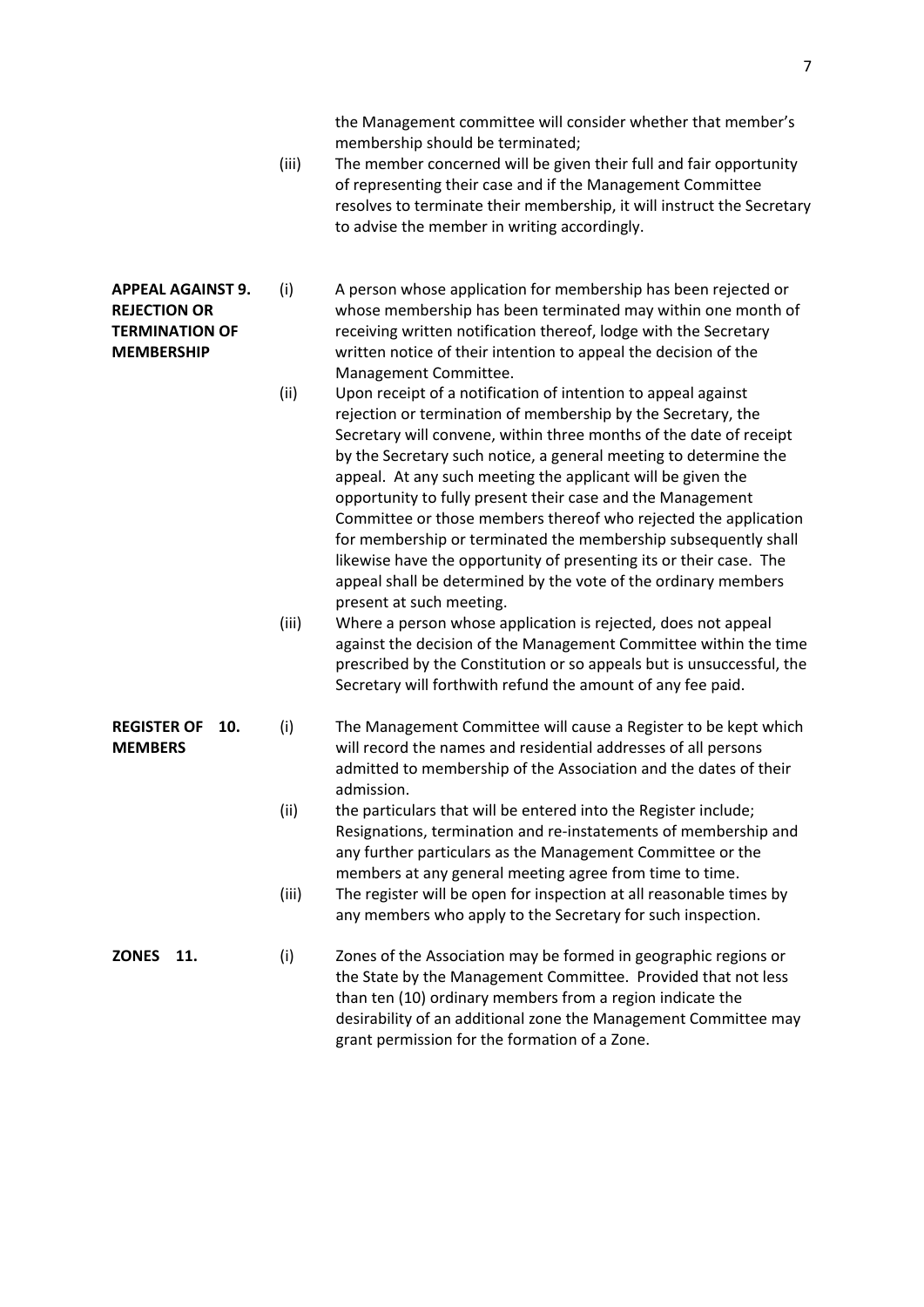the Management committee will consider whether that member's membership should be terminated;

- (iii) The member concerned will be given their full and fair opportunity of representing their case and if the Management Committee resolves to terminate their membership, it will instruct the Secretary to advise the member in writing accordingly.
- **APPEAL AGAINST 9.** (i) A person whose application for membership has been rejected or **REJECTION OR** whose membership has been terminated may within one month of **TERMINATION OF** receiving written notification thereof, lodge with the Secretary **MEMBERSHIP** written notice of their intention to appeal the decision of the Management Committee.
	- (ii) Upon receipt of a notification of intention to appeal against rejection or termination of membership by the Secretary, the Secretary will convene, within three months of the date of receipt by the Secretary such notice, a general meeting to determine the appeal. At any such meeting the applicant will be given the opportunity to fully present their case and the Management Committee or those members thereof who rejected the application for membership or terminated the membership subsequently shall likewise have the opportunity of presenting its or their case. The appeal shall be determined by the vote of the ordinary members present at such meeting.
	- (iii) Where a person whose application is rejected, does not appeal against the decision of the Management Committee within the time prescribed by the Constitution or so appeals but is unsuccessful, the Secretary will forthwith refund the amount of any fee paid.
- **REGISTER OF 10.** (i) The Management Committee will cause a Register to be kept which **MEMBERS** will record the names and residential addresses of all persons admitted to membership of the Association and the dates of their admission.
	- (ii) the particulars that will be entered into the Register include; Resignations, termination and re-instatements of membership and any further particulars as the Management Committee or the members at any general meeting agree from time to time.
	- (iii) The register will be open for inspection at all reasonable times by any members who apply to the Secretary for such inspection.
- **ZONES** 11. (i) Zones of the Association may be formed in geographic regions or the State by the Management Committee. Provided that not less than ten (10) ordinary members from a region indicate the desirability of an additional zone the Management Committee may grant permission for the formation of a Zone.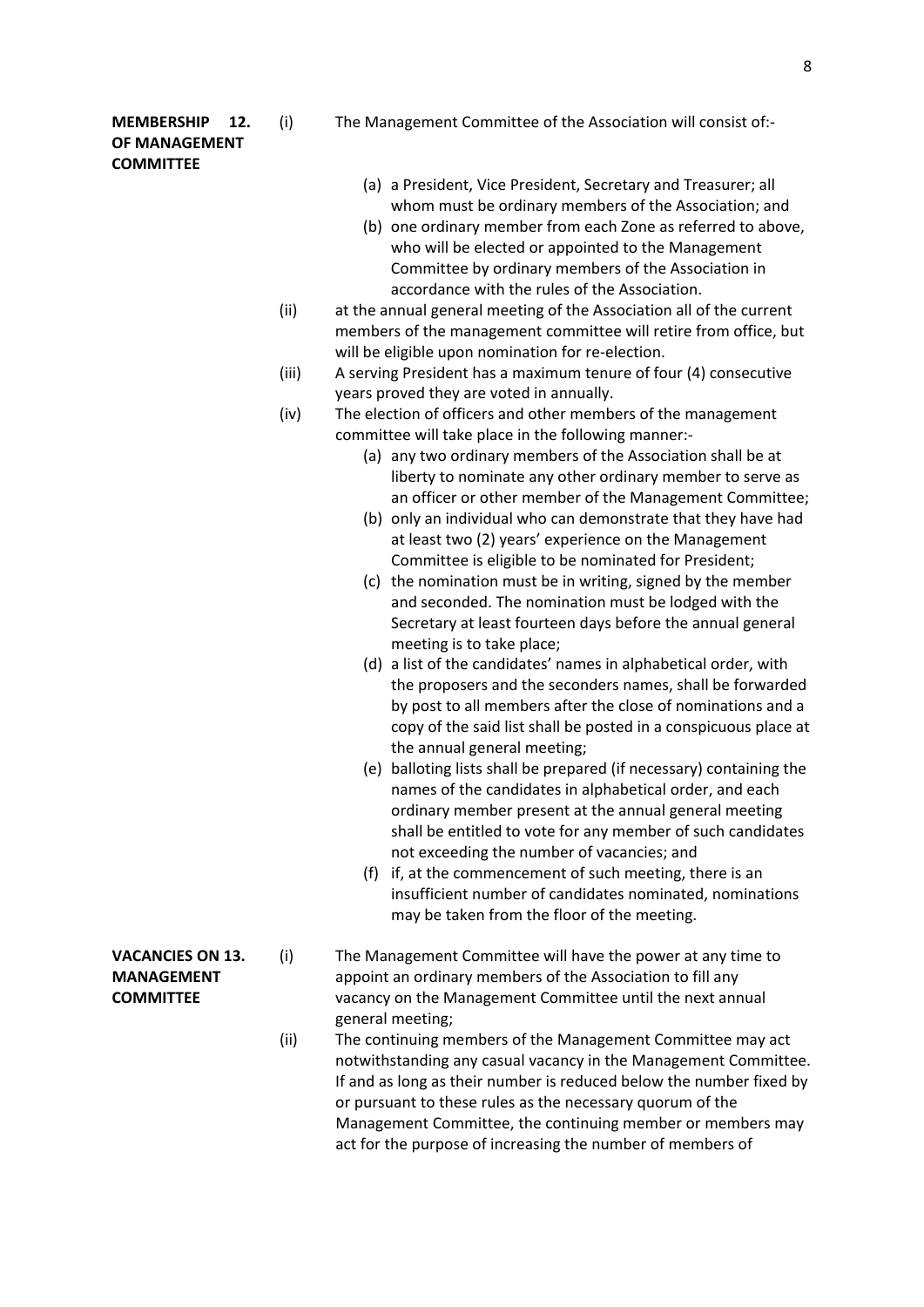# **OF MANAGEMENT COMMITTEE**

- **MEMBERSHIP 12.** (i) The Management Committee of the Association will consist of:-
	- (a) a President, Vice President, Secretary and Treasurer; all whom must be ordinary members of the Association; and
	- (b) one ordinary member from each Zone as referred to above, who will be elected or appointed to the Management Committee by ordinary members of the Association in accordance with the rules of the Association.
	- (ii) at the annual general meeting of the Association all of the current members of the management committee will retire from office, but will be eligible upon nomination for re-election.
	- (iii) A serving President has a maximum tenure of four (4) consecutive years proved they are voted in annually.
	- (iv) The election of officers and other members of the management committee will take place in the following manner:-
		- (a) any two ordinary members of the Association shall be at liberty to nominate any other ordinary member to serve as an officer or other member of the Management Committee;
		- (b) only an individual who can demonstrate that they have had at least two (2) years' experience on the Management Committee is eligible to be nominated for President;
		- (c) the nomination must be in writing, signed by the member and seconded. The nomination must be lodged with the Secretary at least fourteen days before the annual general meeting is to take place;
		- (d) a list of the candidates' names in alphabetical order, with the proposers and the seconders names, shall be forwarded by post to all members after the close of nominations and a copy of the said list shall be posted in a conspicuous place at the annual general meeting;
		- (e) balloting lists shall be prepared (if necessary) containing the names of the candidates in alphabetical order, and each ordinary member present at the annual general meeting shall be entitled to vote for any member of such candidates not exceeding the number of vacancies; and
		- (f) if, at the commencement of such meeting, there is an insufficient number of candidates nominated, nominations may be taken from the floor of the meeting.
- **VACANCIES ON 13.** (i) The Management Committee will have the power at any time to **MANAGEMENT** appoint an ordinary members of the Association to fill any **COMMITTEE** vacancy on the Management Committee until the next annual general meeting;
	- (ii) The continuing members of the Management Committee may act notwithstanding any casual vacancy in the Management Committee. If and as long as their number is reduced below the number fixed by or pursuant to these rules as the necessary quorum of the Management Committee, the continuing member or members may act for the purpose of increasing the number of members of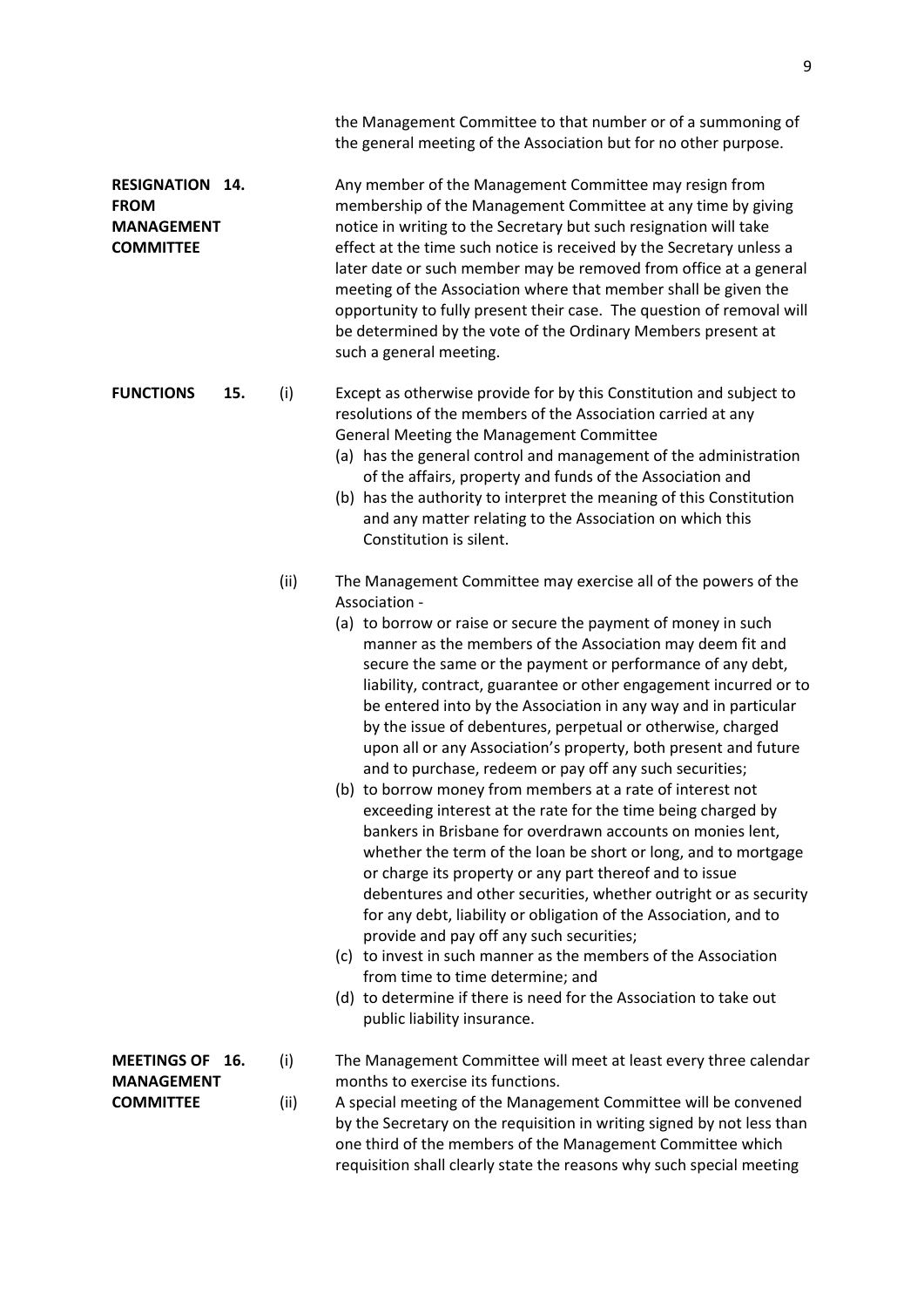|                                                                            |     |             | the Management Committee to that number or of a summoning of<br>the general meeting of the Association but for no other purpose.                                                                                                                                                                                                                                                                                                                                                                                                                                                                                                                                                                                                                                                                                                                                                                                                                                                                                                                                                                                                                                                                                                                                                                                                        |
|----------------------------------------------------------------------------|-----|-------------|-----------------------------------------------------------------------------------------------------------------------------------------------------------------------------------------------------------------------------------------------------------------------------------------------------------------------------------------------------------------------------------------------------------------------------------------------------------------------------------------------------------------------------------------------------------------------------------------------------------------------------------------------------------------------------------------------------------------------------------------------------------------------------------------------------------------------------------------------------------------------------------------------------------------------------------------------------------------------------------------------------------------------------------------------------------------------------------------------------------------------------------------------------------------------------------------------------------------------------------------------------------------------------------------------------------------------------------------|
| <b>RESIGNATION</b><br><b>FROM</b><br><b>MANAGEMENT</b><br><b>COMMITTEE</b> | 14. |             | Any member of the Management Committee may resign from<br>membership of the Management Committee at any time by giving<br>notice in writing to the Secretary but such resignation will take<br>effect at the time such notice is received by the Secretary unless a<br>later date or such member may be removed from office at a general<br>meeting of the Association where that member shall be given the<br>opportunity to fully present their case. The question of removal will<br>be determined by the vote of the Ordinary Members present at<br>such a general meeting.                                                                                                                                                                                                                                                                                                                                                                                                                                                                                                                                                                                                                                                                                                                                                         |
| <b>FUNCTIONS</b>                                                           | 15. | (i)         | Except as otherwise provide for by this Constitution and subject to<br>resolutions of the members of the Association carried at any<br>General Meeting the Management Committee<br>(a) has the general control and management of the administration<br>of the affairs, property and funds of the Association and<br>(b) has the authority to interpret the meaning of this Constitution<br>and any matter relating to the Association on which this<br>Constitution is silent.                                                                                                                                                                                                                                                                                                                                                                                                                                                                                                                                                                                                                                                                                                                                                                                                                                                          |
|                                                                            |     | (ii)        | The Management Committee may exercise all of the powers of the<br>Association -<br>(a) to borrow or raise or secure the payment of money in such<br>manner as the members of the Association may deem fit and<br>secure the same or the payment or performance of any debt,<br>liability, contract, guarantee or other engagement incurred or to<br>be entered into by the Association in any way and in particular<br>by the issue of debentures, perpetual or otherwise, charged<br>upon all or any Association's property, both present and future<br>and to purchase, redeem or pay off any such securities;<br>(b) to borrow money from members at a rate of interest not<br>exceeding interest at the rate for the time being charged by<br>bankers in Brisbane for overdrawn accounts on monies lent,<br>whether the term of the loan be short or long, and to mortgage<br>or charge its property or any part thereof and to issue<br>debentures and other securities, whether outright or as security<br>for any debt, liability or obligation of the Association, and to<br>provide and pay off any such securities;<br>(c) to invest in such manner as the members of the Association<br>from time to time determine; and<br>(d) to determine if there is need for the Association to take out<br>public liability insurance. |
| <b>MEETINGS OF</b><br><b>MANAGEMENT</b><br><b>COMMITTEE</b>                | 16. | (i)<br>(ii) | The Management Committee will meet at least every three calendar<br>months to exercise its functions.<br>A special meeting of the Management Committee will be convened<br>by the Secretary on the requisition in writing signed by not less than<br>one third of the members of the Management Committee which<br>requisition shall clearly state the reasons why such special meeting                                                                                                                                                                                                                                                                                                                                                                                                                                                                                                                                                                                                                                                                                                                                                                                                                                                                                                                                                 |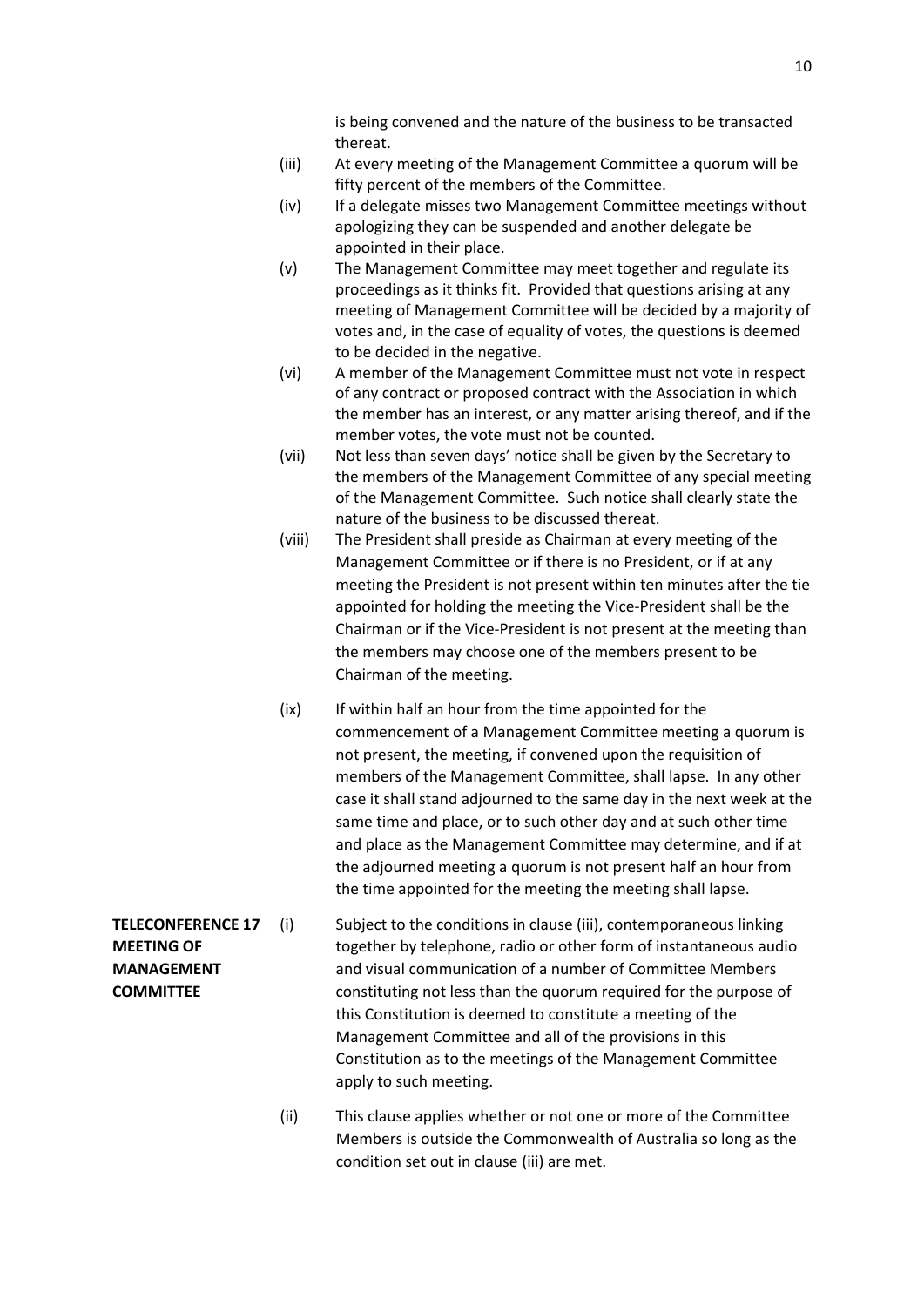is being convened and the nature of the business to be transacted thereat.

- (iii) At every meeting of the Management Committee a quorum will be fifty percent of the members of the Committee.
- (iv) If a delegate misses two Management Committee meetings without apologizing they can be suspended and another delegate be appointed in their place.
- (v) The Management Committee may meet together and regulate its proceedings as it thinks fit. Provided that questions arising at any meeting of Management Committee will be decided by a majority of votes and, in the case of equality of votes, the questions is deemed to be decided in the negative.
- (vi) A member of the Management Committee must not vote in respect of any contract or proposed contract with the Association in which the member has an interest, or any matter arising thereof, and if the member votes, the vote must not be counted.
- (vii) Not less than seven days' notice shall be given by the Secretary to the members of the Management Committee of any special meeting of the Management Committee. Such notice shall clearly state the nature of the business to be discussed thereat.
- (viii) The President shall preside as Chairman at every meeting of the Management Committee or if there is no President, or if at any meeting the President is not present within ten minutes after the tie appointed for holding the meeting the Vice-President shall be the Chairman or if the Vice-President is not present at the meeting than the members may choose one of the members present to be Chairman of the meeting.
- (ix) If within half an hour from the time appointed for the commencement of a Management Committee meeting a quorum is not present, the meeting, if convened upon the requisition of members of the Management Committee, shall lapse. In any other case it shall stand adjourned to the same day in the next week at the same time and place, or to such other day and at such other time and place as the Management Committee may determine, and if at the adjourned meeting a quorum is not present half an hour from the time appointed for the meeting the meeting shall lapse.
- **TELECONFERENCE 17** (i) Subject to the conditions in clause (iii), contemporaneous linking **MEETING OF** together by telephone, radio or other form of instantaneous audio **MANAGEMENT** and visual communication of a number of Committee Members **COMMITTEE** constituting not less than the quorum required for the purpose of this Constitution is deemed to constitute a meeting of the Management Committee and all of the provisions in this Constitution as to the meetings of the Management Committee apply to such meeting.
	- (ii) This clause applies whether or not one or more of the Committee Members is outside the Commonwealth of Australia so long as the condition set out in clause (iii) are met.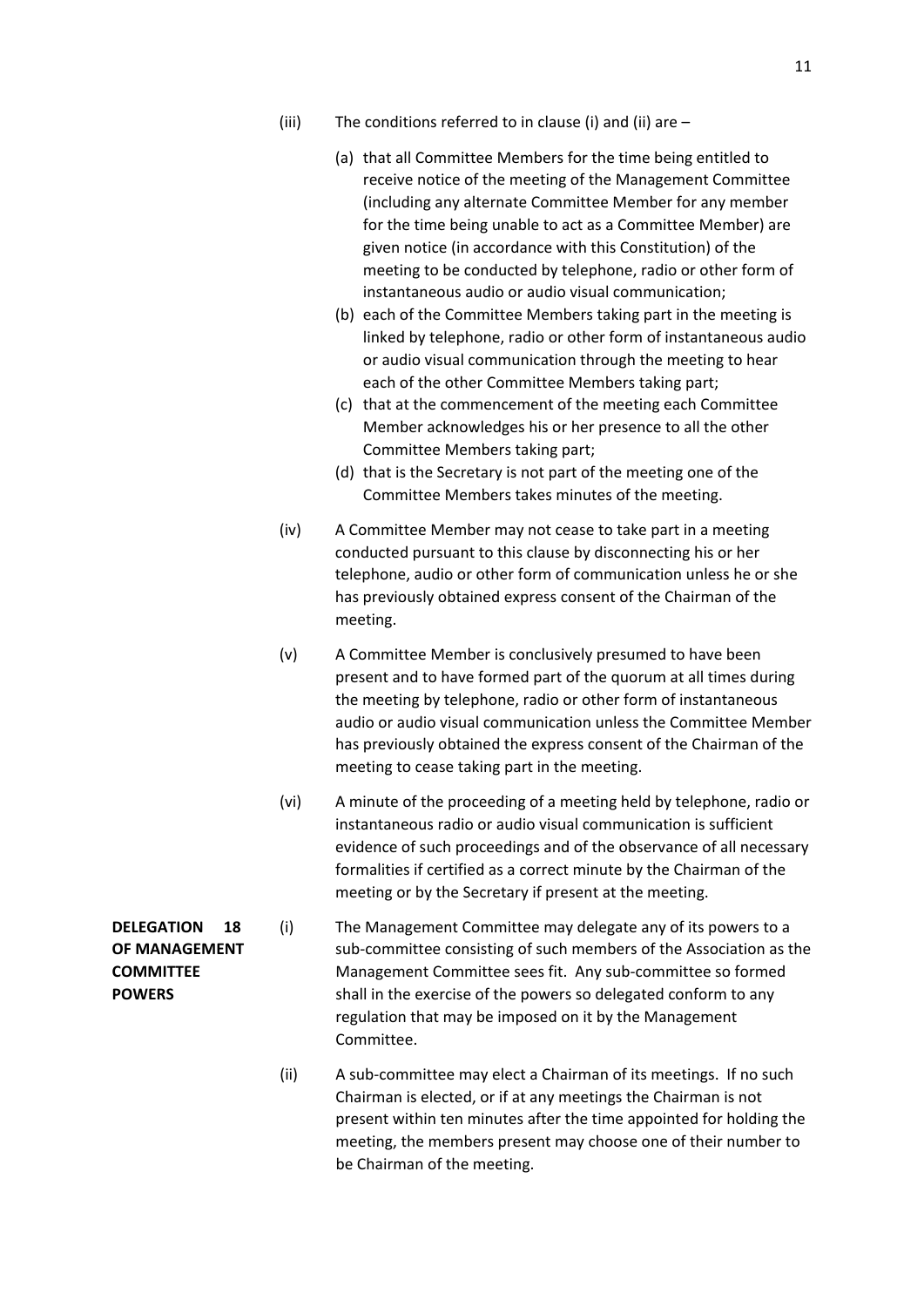- (iii) The conditions referred to in clause (i) and (ii) are  $-$ 
	- (a) that all Committee Members for the time being entitled to receive notice of the meeting of the Management Committee (including any alternate Committee Member for any member for the time being unable to act as a Committee Member) are given notice (in accordance with this Constitution) of the meeting to be conducted by telephone, radio or other form of instantaneous audio or audio visual communication;
	- (b) each of the Committee Members taking part in the meeting is linked by telephone, radio or other form of instantaneous audio or audio visual communication through the meeting to hear each of the other Committee Members taking part;
	- (c) that at the commencement of the meeting each Committee Member acknowledges his or her presence to all the other Committee Members taking part;
	- (d) that is the Secretary is not part of the meeting one of the Committee Members takes minutes of the meeting.
- (iv) A Committee Member may not cease to take part in a meeting conducted pursuant to this clause by disconnecting his or her telephone, audio or other form of communication unless he or she has previously obtained express consent of the Chairman of the meeting.
- (v) A Committee Member is conclusively presumed to have been present and to have formed part of the quorum at all times during the meeting by telephone, radio or other form of instantaneous audio or audio visual communication unless the Committee Member has previously obtained the express consent of the Chairman of the meeting to cease taking part in the meeting.
- (vi) A minute of the proceeding of a meeting held by telephone, radio or instantaneous radio or audio visual communication is sufficient evidence of such proceedings and of the observance of all necessary formalities if certified as a correct minute by the Chairman of the meeting or by the Secretary if present at the meeting.
- **DELEGATION 18** (i) The Management Committee may delegate any of its powers to a **OF MANAGEMENT** sub-committee consisting of such members of the Association as the **COMMITTEE** Management Committee sees fit. Any sub-committee so formed **POWERS** shall in the exercise of the powers so delegated conform to any regulation that may be imposed on it by the Management Committee.
	- (ii) A sub-committee may elect a Chairman of its meetings. If no such Chairman is elected, or if at any meetings the Chairman is not present within ten minutes after the time appointed for holding the meeting, the members present may choose one of their number to be Chairman of the meeting.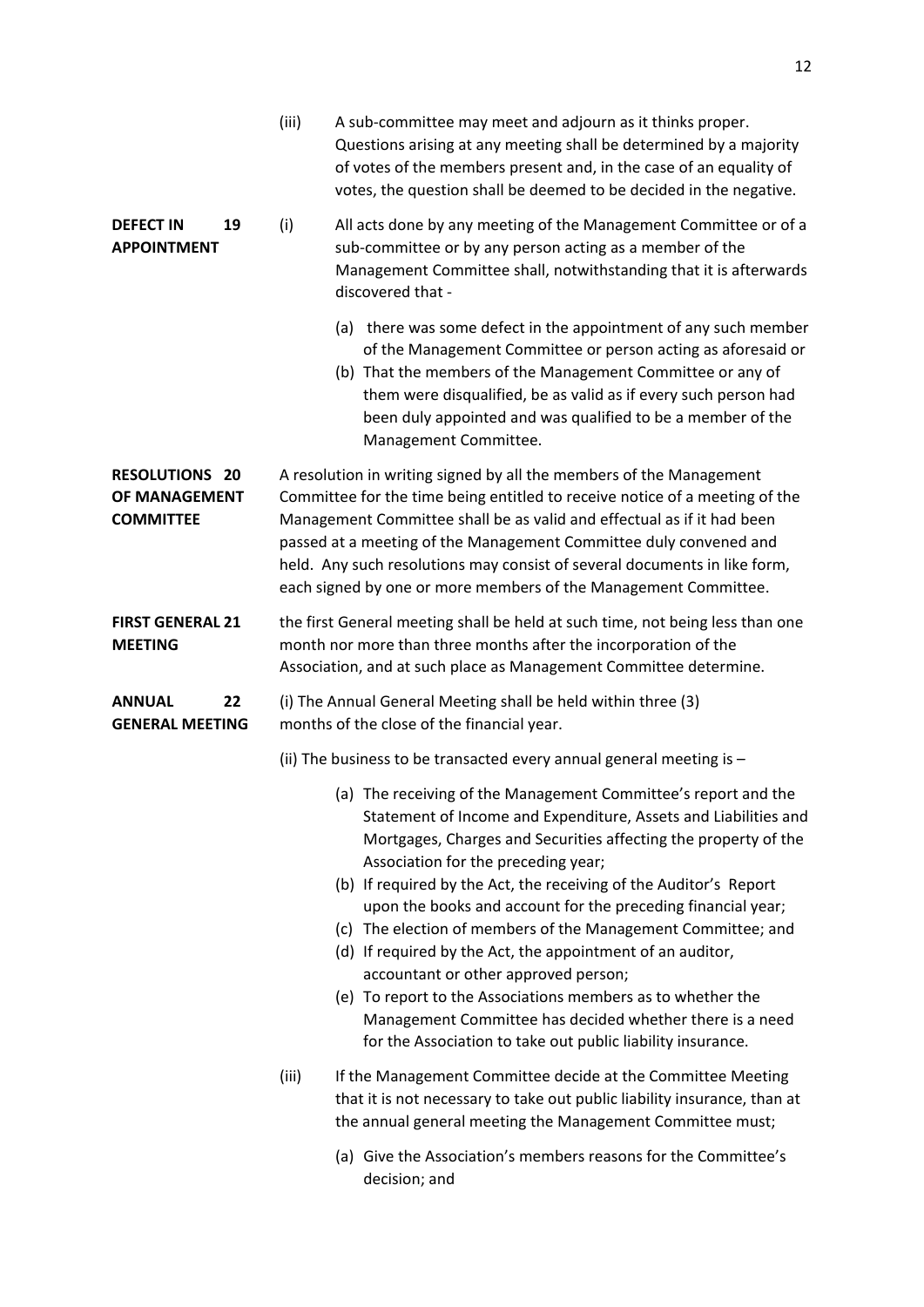|                                                            | (iii)                                                                                                                                                                                                                                                                                                                                                                                                                                             | A sub-committee may meet and adjourn as it thinks proper.<br>Questions arising at any meeting shall be determined by a majority<br>of votes of the members present and, in the case of an equality of<br>votes, the question shall be deemed to be decided in the negative.                                                                                                                                                                                                                                                                                                                                                                                                                                                                      |  |  |  |
|------------------------------------------------------------|---------------------------------------------------------------------------------------------------------------------------------------------------------------------------------------------------------------------------------------------------------------------------------------------------------------------------------------------------------------------------------------------------------------------------------------------------|--------------------------------------------------------------------------------------------------------------------------------------------------------------------------------------------------------------------------------------------------------------------------------------------------------------------------------------------------------------------------------------------------------------------------------------------------------------------------------------------------------------------------------------------------------------------------------------------------------------------------------------------------------------------------------------------------------------------------------------------------|--|--|--|
| <b>DEFECT IN</b><br>19<br><b>APPOINTMENT</b>               | (i)                                                                                                                                                                                                                                                                                                                                                                                                                                               | All acts done by any meeting of the Management Committee or of a<br>sub-committee or by any person acting as a member of the<br>Management Committee shall, notwithstanding that it is afterwards<br>discovered that -                                                                                                                                                                                                                                                                                                                                                                                                                                                                                                                           |  |  |  |
|                                                            |                                                                                                                                                                                                                                                                                                                                                                                                                                                   | (a) there was some defect in the appointment of any such member<br>of the Management Committee or person acting as aforesaid or<br>(b) That the members of the Management Committee or any of<br>them were disqualified, be as valid as if every such person had<br>been duly appointed and was qualified to be a member of the<br>Management Committee.                                                                                                                                                                                                                                                                                                                                                                                         |  |  |  |
| <b>RESOLUTIONS 20</b><br>OF MANAGEMENT<br><b>COMMITTEE</b> | A resolution in writing signed by all the members of the Management<br>Committee for the time being entitled to receive notice of a meeting of the<br>Management Committee shall be as valid and effectual as if it had been<br>passed at a meeting of the Management Committee duly convened and<br>held. Any such resolutions may consist of several documents in like form,<br>each signed by one or more members of the Management Committee. |                                                                                                                                                                                                                                                                                                                                                                                                                                                                                                                                                                                                                                                                                                                                                  |  |  |  |
| <b>FIRST GENERAL 21</b><br><b>MEETING</b>                  | the first General meeting shall be held at such time, not being less than one<br>month nor more than three months after the incorporation of the<br>Association, and at such place as Management Committee determine.                                                                                                                                                                                                                             |                                                                                                                                                                                                                                                                                                                                                                                                                                                                                                                                                                                                                                                                                                                                                  |  |  |  |
| <b>ANNUAL</b><br>22<br><b>GENERAL MEETING</b>              | (i) The Annual General Meeting shall be held within three (3)<br>months of the close of the financial year.                                                                                                                                                                                                                                                                                                                                       |                                                                                                                                                                                                                                                                                                                                                                                                                                                                                                                                                                                                                                                                                                                                                  |  |  |  |
|                                                            | (ii) The business to be transacted every annual general meeting is $-$                                                                                                                                                                                                                                                                                                                                                                            |                                                                                                                                                                                                                                                                                                                                                                                                                                                                                                                                                                                                                                                                                                                                                  |  |  |  |
|                                                            |                                                                                                                                                                                                                                                                                                                                                                                                                                                   | (a) The receiving of the Management Committee's report and the<br>Statement of Income and Expenditure, Assets and Liabilities and<br>Mortgages, Charges and Securities affecting the property of the<br>Association for the preceding year;<br>(b) If required by the Act, the receiving of the Auditor's Report<br>upon the books and account for the preceding financial year;<br>(c) The election of members of the Management Committee; and<br>(d) If required by the Act, the appointment of an auditor,<br>accountant or other approved person;<br>(e) To report to the Associations members as to whether the<br>Management Committee has decided whether there is a need<br>for the Association to take out public liability insurance. |  |  |  |
|                                                            | (iii)                                                                                                                                                                                                                                                                                                                                                                                                                                             | If the Management Committee decide at the Committee Meeting<br>that it is not necessary to take out public liability insurance, than at<br>the annual general meeting the Management Committee must;                                                                                                                                                                                                                                                                                                                                                                                                                                                                                                                                             |  |  |  |
|                                                            |                                                                                                                                                                                                                                                                                                                                                                                                                                                   | (a) Give the Association's members reasons for the Committee's<br>decision; and                                                                                                                                                                                                                                                                                                                                                                                                                                                                                                                                                                                                                                                                  |  |  |  |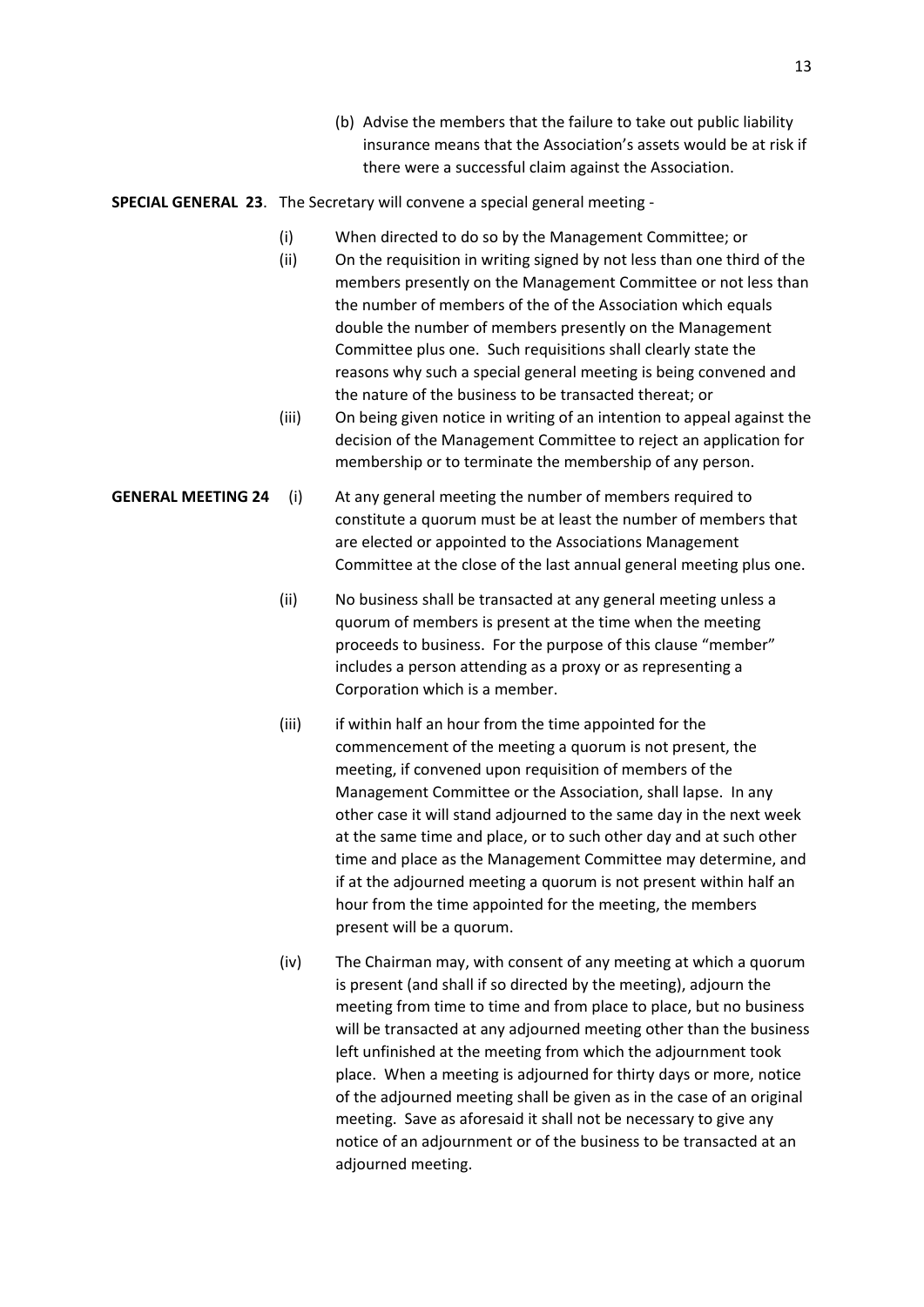(b) Advise the members that the failure to take out public liability insurance means that the Association's assets would be at risk if there were a successful claim against the Association.

**SPECIAL GENERAL 23**. The Secretary will convene a special general meeting -

- (i) When directed to do so by the Management Committee; or
- (ii) On the requisition in writing signed by not less than one third of the members presently on the Management Committee or not less than the number of members of the of the Association which equals double the number of members presently on the Management Committee plus one. Such requisitions shall clearly state the reasons why such a special general meeting is being convened and the nature of the business to be transacted thereat; or
- (iii) On being given notice in writing of an intention to appeal against the decision of the Management Committee to reject an application for membership or to terminate the membership of any person.
- **GENERAL MEETING 24** (i) At any general meeting the number of members required to constitute a quorum must be at least the number of members that are elected or appointed to the Associations Management Committee at the close of the last annual general meeting plus one.
	- (ii) No business shall be transacted at any general meeting unless a quorum of members is present at the time when the meeting proceeds to business. For the purpose of this clause "member" includes a person attending as a proxy or as representing a Corporation which is a member.
	- (iii) if within half an hour from the time appointed for the commencement of the meeting a quorum is not present, the meeting, if convened upon requisition of members of the Management Committee or the Association, shall lapse. In any other case it will stand adjourned to the same day in the next week at the same time and place, or to such other day and at such other time and place as the Management Committee may determine, and if at the adjourned meeting a quorum is not present within half an hour from the time appointed for the meeting, the members present will be a quorum.
	- (iv) The Chairman may, with consent of any meeting at which a quorum is present (and shall if so directed by the meeting), adjourn the meeting from time to time and from place to place, but no business will be transacted at any adjourned meeting other than the business left unfinished at the meeting from which the adjournment took place. When a meeting is adjourned for thirty days or more, notice of the adjourned meeting shall be given as in the case of an original meeting. Save as aforesaid it shall not be necessary to give any notice of an adjournment or of the business to be transacted at an adjourned meeting.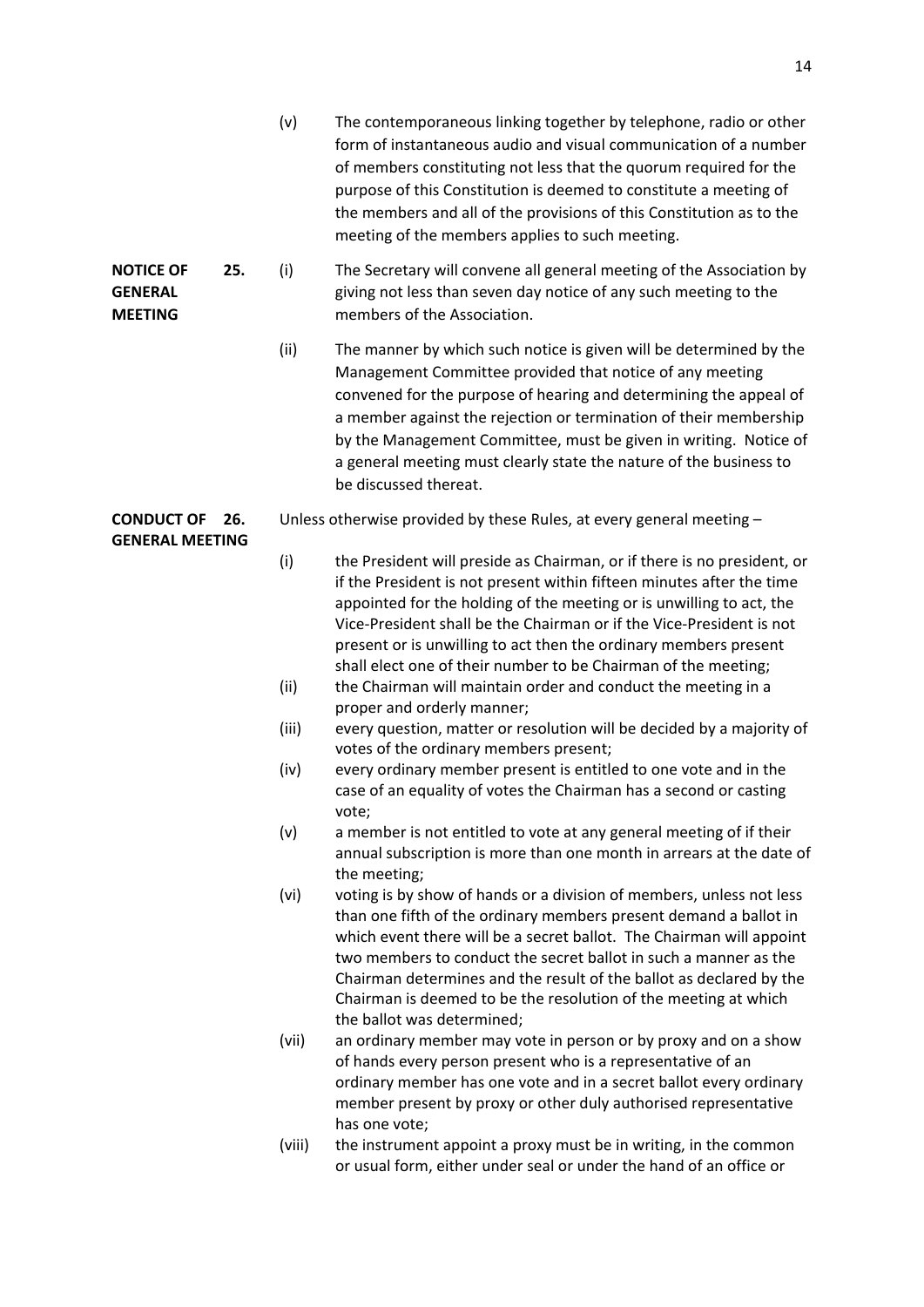|                                                      |     | (v)                                                                  | The contemporaneous linking together by telephone, radio or other<br>form of instantaneous audio and visual communication of a number<br>of members constituting not less that the quorum required for the<br>purpose of this Constitution is deemed to constitute a meeting of<br>the members and all of the provisions of this Constitution as to the<br>meeting of the members applies to such meeting.                                                    |  |  |
|------------------------------------------------------|-----|----------------------------------------------------------------------|---------------------------------------------------------------------------------------------------------------------------------------------------------------------------------------------------------------------------------------------------------------------------------------------------------------------------------------------------------------------------------------------------------------------------------------------------------------|--|--|
| <b>NOTICE OF</b><br><b>GENERAL</b><br><b>MEETING</b> | 25. | (i)                                                                  | The Secretary will convene all general meeting of the Association by<br>giving not less than seven day notice of any such meeting to the<br>members of the Association.                                                                                                                                                                                                                                                                                       |  |  |
|                                                      |     | (ii)                                                                 | The manner by which such notice is given will be determined by the<br>Management Committee provided that notice of any meeting<br>convened for the purpose of hearing and determining the appeal of<br>a member against the rejection or termination of their membership<br>by the Management Committee, must be given in writing. Notice of<br>a general meeting must clearly state the nature of the business to<br>be discussed thereat.                   |  |  |
| <b>CONDUCT OF</b><br><b>GENERAL MEETING</b>          | 26. | Unless otherwise provided by these Rules, at every general meeting - |                                                                                                                                                                                                                                                                                                                                                                                                                                                               |  |  |
|                                                      |     | (i)                                                                  | the President will preside as Chairman, or if there is no president, or<br>if the President is not present within fifteen minutes after the time<br>appointed for the holding of the meeting or is unwilling to act, the<br>Vice-President shall be the Chairman or if the Vice-President is not<br>present or is unwilling to act then the ordinary members present<br>shall elect one of their number to be Chairman of the meeting;                        |  |  |
|                                                      |     | (ii)                                                                 | the Chairman will maintain order and conduct the meeting in a<br>proper and orderly manner;                                                                                                                                                                                                                                                                                                                                                                   |  |  |
|                                                      |     | (iii)                                                                | every question, matter or resolution will be decided by a majority of                                                                                                                                                                                                                                                                                                                                                                                         |  |  |
|                                                      |     | (iv)                                                                 | votes of the ordinary members present;<br>every ordinary member present is entitled to one vote and in the<br>case of an equality of votes the Chairman has a second or casting<br>vote;                                                                                                                                                                                                                                                                      |  |  |
|                                                      |     | (v)                                                                  | a member is not entitled to vote at any general meeting of if their<br>annual subscription is more than one month in arrears at the date of<br>the meeting;                                                                                                                                                                                                                                                                                                   |  |  |
|                                                      |     | (vi)                                                                 | voting is by show of hands or a division of members, unless not less<br>than one fifth of the ordinary members present demand a ballot in<br>which event there will be a secret ballot. The Chairman will appoint<br>two members to conduct the secret ballot in such a manner as the<br>Chairman determines and the result of the ballot as declared by the<br>Chairman is deemed to be the resolution of the meeting at which<br>the ballot was determined; |  |  |
|                                                      |     | (vii)                                                                | an ordinary member may vote in person or by proxy and on a show<br>of hands every person present who is a representative of an<br>ordinary member has one vote and in a secret ballot every ordinary<br>member present by proxy or other duly authorised representative<br>has one vote;                                                                                                                                                                      |  |  |
|                                                      |     | (viii)                                                               | the instrument appoint a proxy must be in writing, in the common<br>or usual form, either under seal or under the hand of an office or                                                                                                                                                                                                                                                                                                                        |  |  |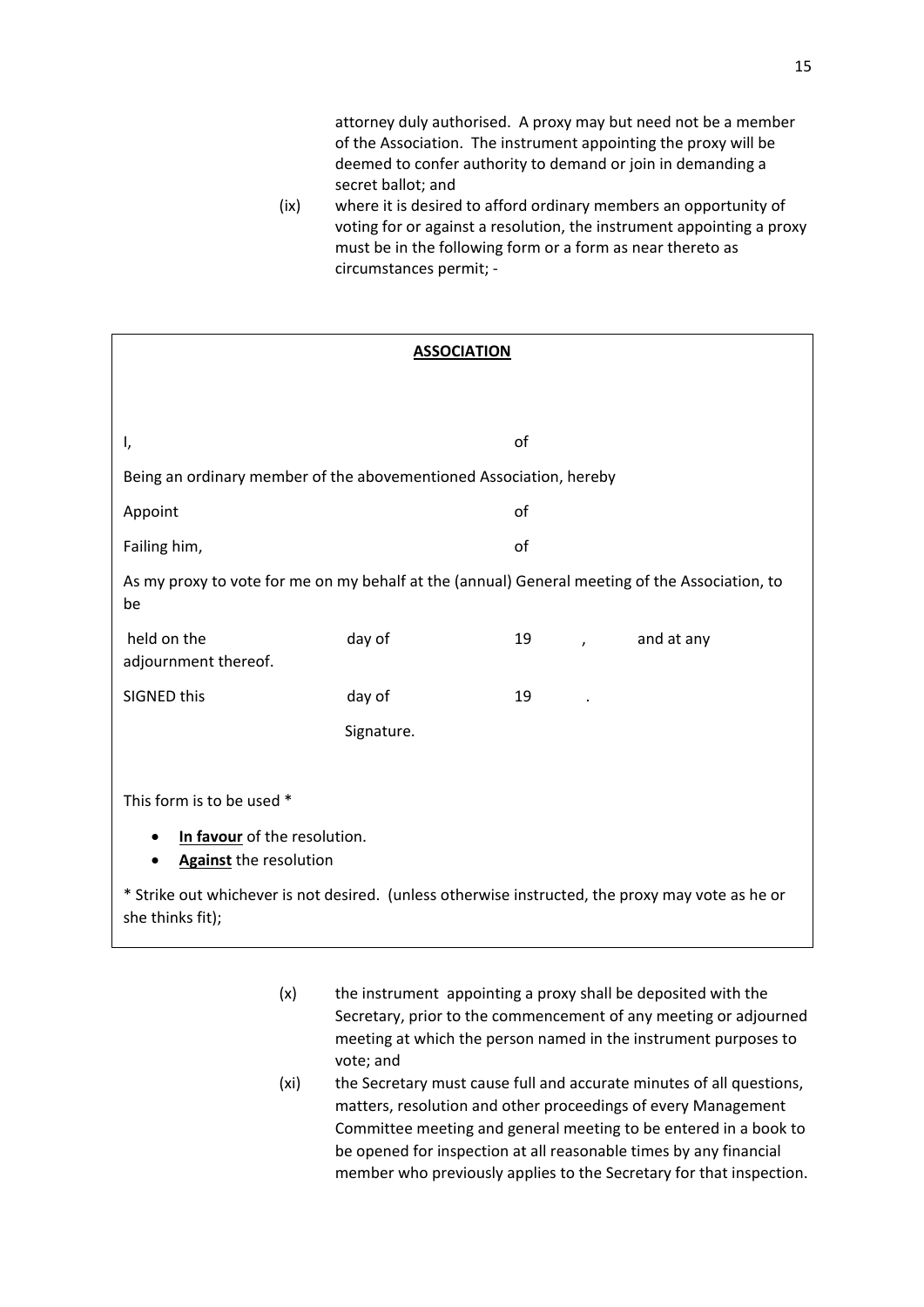attorney duly authorised. A proxy may but need not be a member of the Association. The instrument appointing the proxy will be deemed to confer authority to demand or join in demanding a secret ballot; and

(ix) where it is desired to afford ordinary members an opportunity of voting for or against a resolution, the instrument appointing a proxy must be in the following form or a form as near thereto as circumstances permit; -

| <b>ASSOCIATION</b>                                                                                                   |            |    |           |            |  |  |
|----------------------------------------------------------------------------------------------------------------------|------------|----|-----------|------------|--|--|
|                                                                                                                      |            |    |           |            |  |  |
|                                                                                                                      |            |    |           |            |  |  |
| I,                                                                                                                   |            | of |           |            |  |  |
| Being an ordinary member of the abovementioned Association, hereby                                                   |            |    |           |            |  |  |
| Appoint                                                                                                              |            | of |           |            |  |  |
| Failing him,                                                                                                         |            |    | of        |            |  |  |
| As my proxy to vote for me on my behalf at the (annual) General meeting of the Association, to<br>be                 |            |    |           |            |  |  |
| held on the<br>adjournment thereof.                                                                                  | day of     | 19 | $\lambda$ | and at any |  |  |
| <b>SIGNED this</b>                                                                                                   | day of     | 19 |           |            |  |  |
|                                                                                                                      | Signature. |    |           |            |  |  |
|                                                                                                                      |            |    |           |            |  |  |
| This form is to be used *                                                                                            |            |    |           |            |  |  |
| In favour of the resolution.<br>٠<br><b>Against the resolution</b><br>$\bullet$                                      |            |    |           |            |  |  |
| * Strike out whichever is not desired. (unless otherwise instructed, the proxy may vote as he or<br>she thinks fit); |            |    |           |            |  |  |

- $(x)$  the instrument appointing a proxy shall be deposited with the Secretary, prior to the commencement of any meeting or adjourned meeting at which the person named in the instrument purposes to vote; and
- (xi) the Secretary must cause full and accurate minutes of all questions, matters, resolution and other proceedings of every Management Committee meeting and general meeting to be entered in a book to be opened for inspection at all reasonable times by any financial member who previously applies to the Secretary for that inspection.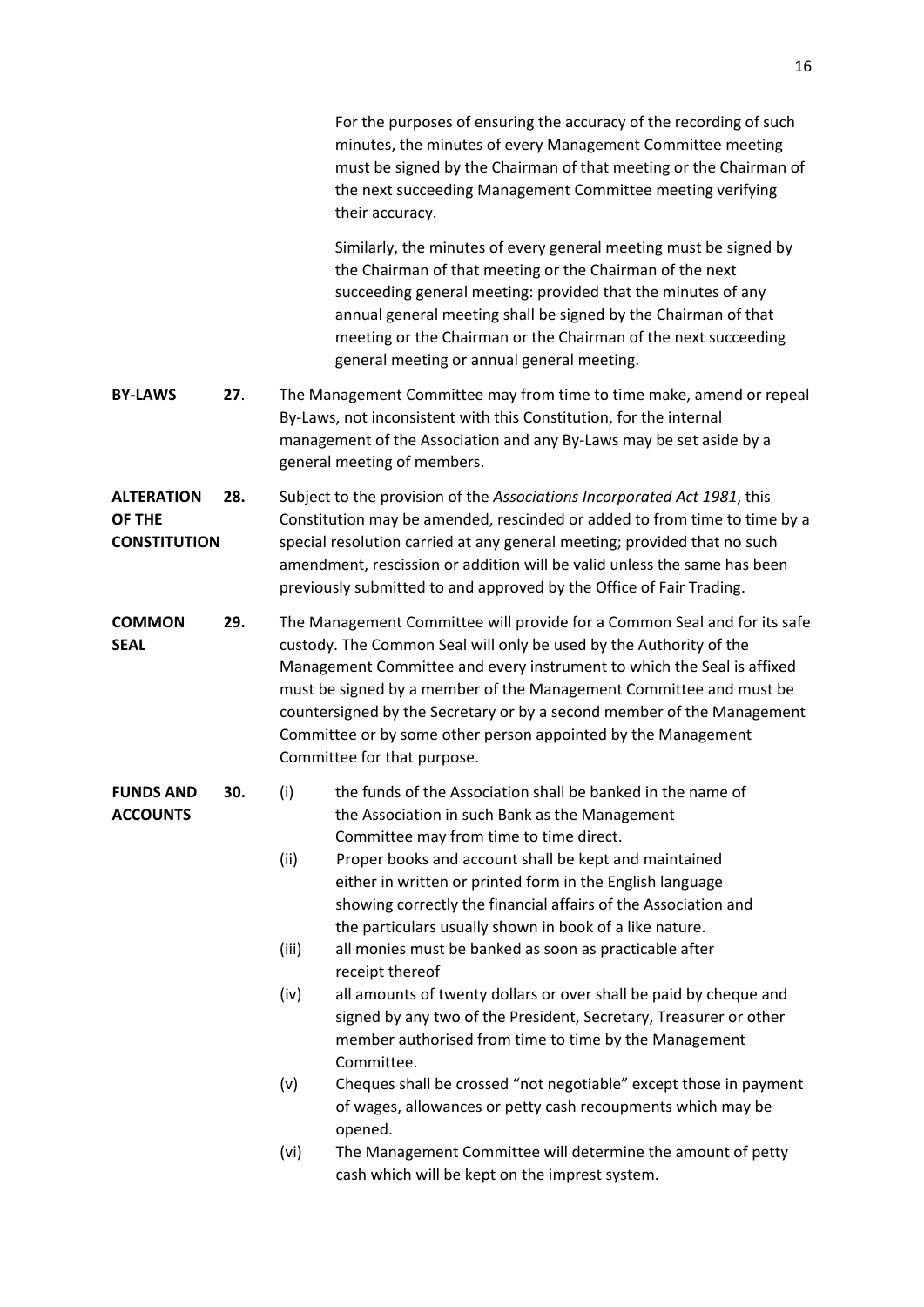For the purposes of ensuring the accuracy of the recording of such minutes, the minutes of every Management Committee meeting must be signed by the Chairman of that meeting or the Chairman of the next succeeding Management Committee meeting verifying their accuracy.

Similarly, the minutes of every general meeting must be signed by the Chairman of that meeting or the Chairman of the next succeeding general meeting: provided that the minutes of any annual general meeting shall be signed by the Chairman of that meeting or the Chairman or the Chairman of the next succeeding general meeting or annual general meeting.

- **BY-LAWS 27**. The Management Committee may from time to time make, amend or repeal By-Laws, not inconsistent with this Constitution, for the internal management of the Association and any By-Laws may be set aside by a general meeting of members.
- **ALTERATION 28.** Subject to the provision of the *Associations Incorporated Act 1981*, this **OF THE** Constitution may be amended, rescinded or added to from time to time by a **CONSTITUTION** special resolution carried at any general meeting; provided that no such amendment, rescission or addition will be valid unless the same has been previously submitted to and approved by the Office of Fair Trading.
- **COMMON 29.** The Management Committee will provide for a Common Seal and for its safe **SEAL** custody. The Common Seal will only be used by the Authority of the Management Committee and every instrument to which the Seal is affixed must be signed by a member of the Management Committee and must be countersigned by the Secretary or by a second member of the Management Committee or by some other person appointed by the Management Committee for that purpose.

- **FUNDS AND 30.** (i) the funds of the Association shall be banked in the name of **ACCOUNTS** the Association in such Bank as the Management Committee may from time to time direct.
	- (ii) Proper books and account shall be kept and maintained either in written or printed form in the English language showing correctly the financial affairs of the Association and the particulars usually shown in book of a like nature.
	- (iii) all monies must be banked as soon as practicable after receipt thereof
	- (iv) all amounts of twenty dollars or over shall be paid by cheque and signed by any two of the President, Secretary, Treasurer or other member authorised from time to time by the Management Committee.
	- (v) Cheques shall be crossed "not negotiable" except those in payment of wages, allowances or petty cash recoupments which may be opened.
	- (vi) The Management Committee will determine the amount of petty cash which will be kept on the imprest system.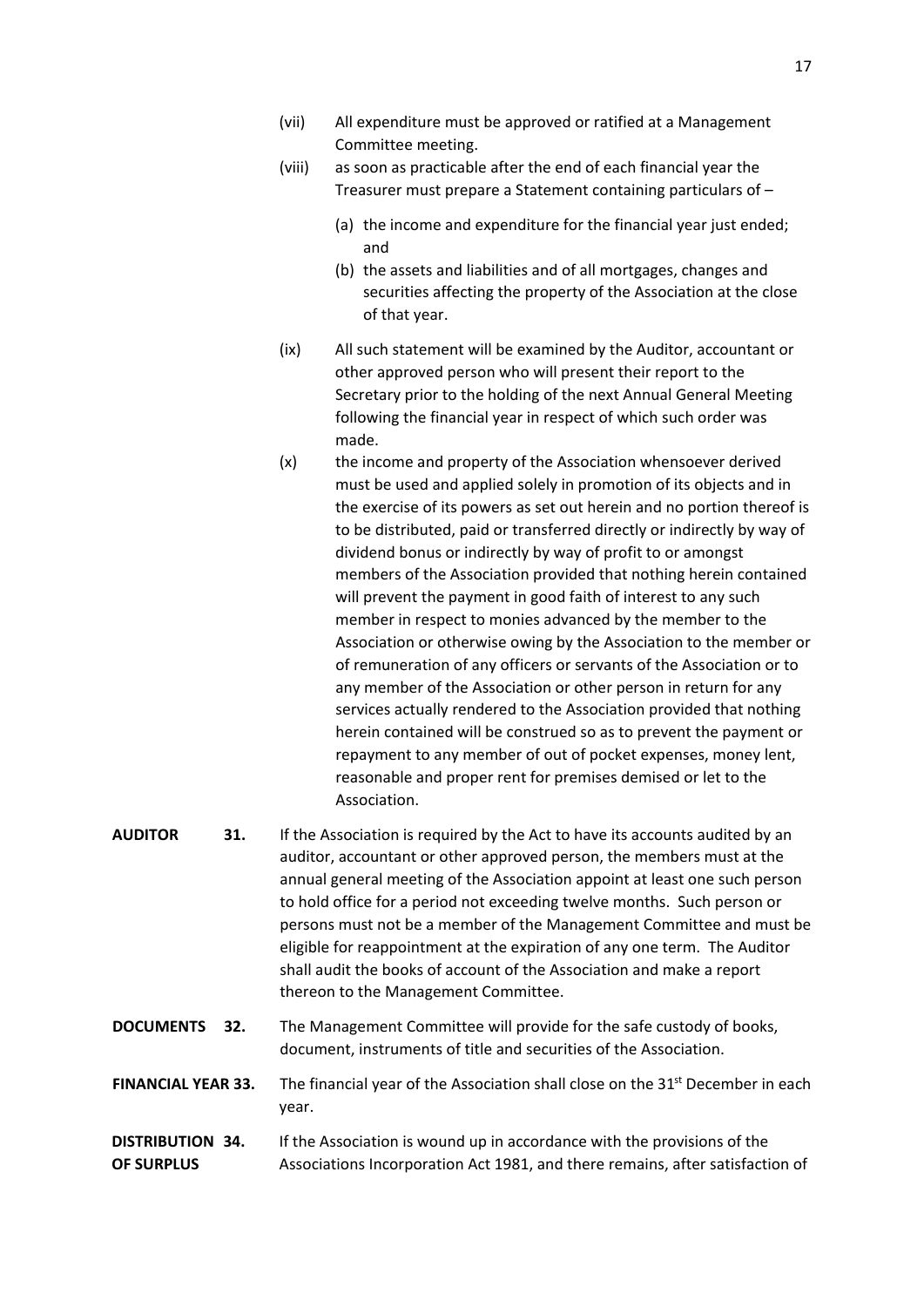- (vii) All expenditure must be approved or ratified at a Management Committee meeting.
- (viii) as soon as practicable after the end of each financial year the Treasurer must prepare a Statement containing particulars of –
	- (a) the income and expenditure for the financial year just ended; and
	- (b) the assets and liabilities and of all mortgages, changes and securities affecting the property of the Association at the close of that year.
- (ix) All such statement will be examined by the Auditor, accountant or other approved person who will present their report to the Secretary prior to the holding of the next Annual General Meeting following the financial year in respect of which such order was made.
- (x) the income and property of the Association whensoever derived must be used and applied solely in promotion of its objects and in the exercise of its powers as set out herein and no portion thereof is to be distributed, paid or transferred directly or indirectly by way of dividend bonus or indirectly by way of profit to or amongst members of the Association provided that nothing herein contained will prevent the payment in good faith of interest to any such member in respect to monies advanced by the member to the Association or otherwise owing by the Association to the member or of remuneration of any officers or servants of the Association or to any member of the Association or other person in return for any services actually rendered to the Association provided that nothing herein contained will be construed so as to prevent the payment or repayment to any member of out of pocket expenses, money lent, reasonable and proper rent for premises demised or let to the Association.
- **AUDITOR 31.** If the Association is required by the Act to have its accounts audited by an auditor, accountant or other approved person, the members must at the annual general meeting of the Association appoint at least one such person to hold office for a period not exceeding twelve months. Such person or persons must not be a member of the Management Committee and must be eligible for reappointment at the expiration of any one term. The Auditor shall audit the books of account of the Association and make a report thereon to the Management Committee.
- **DOCUMENTS 32.** The Management Committee will provide for the safe custody of books, document, instruments of title and securities of the Association.
- **FINANCIAL YEAR 33.** The financial year of the Association shall close on the 31<sup>st</sup> December in each year.

## **DISTRIBUTION 34.** If the Association is wound up in accordance with the provisions of the **OF SURPLUS** Associations Incorporation Act 1981, and there remains, after satisfaction of